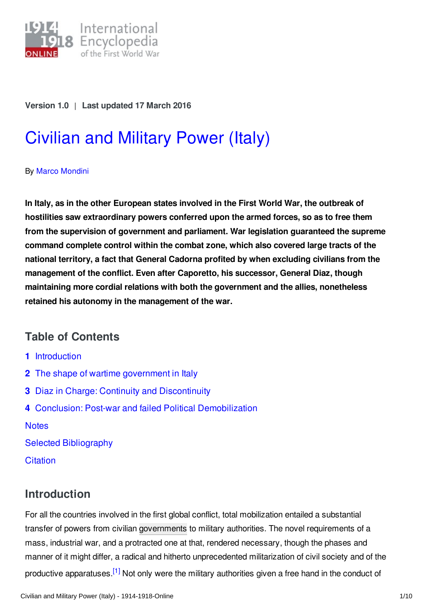

#### **Version 1.0** | **Last updated 17 March 2016**

# [Civilian](http://encyclopedia.1914-1918-online.net/article/civilian_and_military_power_italy) and Military Power (Italy)

#### By Marco [Mondini](http://encyclopedia.1914-1918-online.net/contributors/Marco_Mondini)

**In Italy, as in the other European states involved in the First World War, the outbreak of hostilities saw extraordinary powers conferred upon the armed forces, so as to free them from the supervision of government and parliament. War legislation guaranteed the supreme command complete control within the combat zone, which also covered large tracts of the national territory, a fact that General Cadorna profited by when excluding civilians from the management of the conflict. Even after Caporetto, his successor, General Diaz, though maintaining more cordial relations with both the government and the allies, nonetheless retained his autonomy in the management of the war.**

## **Table of Contents**

- **1** [Introduction](#page-0-0)
- **2** The shape of wartime [government](#page-1-0) in Italy
- **3** Diaz in Charge: Continuity and [Discontinuity](#page-5-0)
- **4** Conclusion: Post-war and failed Political [Demobilization](#page-6-0)

**[Notes](#page-6-1)** 

Selected [Bibliography](#page-8-0)

**[Citation](#page-9-0)** 

# <span id="page-0-0"></span>**Introduction**

<span id="page-0-1"></span>For all the countries involved in the first global conflict, total mobilization entailed a substantial transfer of powers from civilian [governments](http://encyclopedia.1914-1918-online.net/article/governments_parliaments_and_parties) to military authorities. The novel requirements of a mass, industrial war, and a protracted one at that, rendered necessary, though the phases and manner of it might differ, a radical and hitherto unprecedented militarization of civil society and of the productive apparatuses.<sup>[\[1\]](#page-7-0)</sup> Not only were the military authorities given a free hand in the conduct of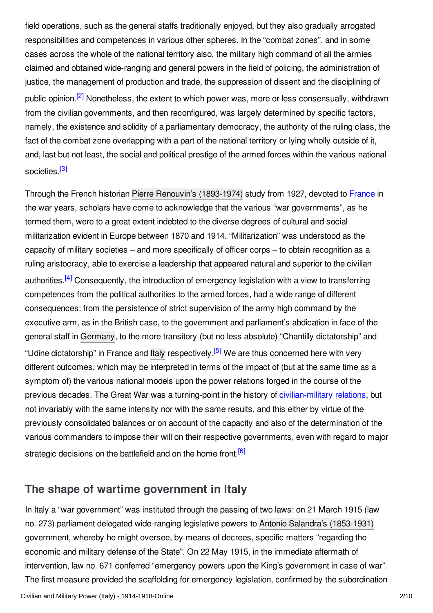<span id="page-1-1"></span>field operations, such as the general staffs traditionally enjoyed, but they also gradually arrogated responsibilities and competences in various other spheres. In the "combat zones", and in some cases across the whole of the national territory also, the military high command of all the armies claimed and obtained wide-ranging and general powers in the field of policing, the administration of justice, the management of production and trade, the suppression of dissent and the disciplining of public opinion.<sup>[\[2\]](#page-7-1)</sup> Nonetheless, the extent to which power was, more or less consensually, withdrawn from the civilian governments, and then reconfigured, was largely determined by specific factors, namely, the existence and solidity of a parliamentary democracy, the authority of the ruling class, the fact of the combat zone overlapping with a part of the national territory or lying wholly outside of it, and, last but not least, the social and political prestige of the armed forces within the various national societies.<sup>[\[3\]](#page-7-2)</sup>

<span id="page-1-3"></span><span id="page-1-2"></span>Through the French historian Pierre Renouvin's [\(1893-1974\)](http://encyclopedia.1914-1918-online.net/index/names/118788388) study from 1927, devoted to [France](http://encyclopedia.1914-1918-online.net/article/france) in the war years, scholars have come to acknowledge that the various "war governments", as he termed them, were to a great extent indebted to the diverse degrees of cultural and social militarization evident in Europe between 1870 and 1914. "Militarization" was understood as the capacity of military societies – and more specifically of officer corps – to obtain recognition as a ruling aristocracy, able to exercise a leadership that appeared natural and superior to the civilian authorities.<sup>[\[4\]](#page-7-3)</sup> Consequently, the introduction of emergency legislation with a view to transferring competences from the political authorities to the armed forces, had a wide range of different consequences: from the persistence of strict supervision of the army high command by the executive arm, as in the British case, to the government and parliament's abdication in face of the general staff in [Germany](http://encyclopedia.1914-1918-online.net/article/germany), to the more transitory (but no less absolute) "Chantilly dictatorship" and "Udine dictatorship" in France and [Italy](http://encyclopedia.1914-1918-online.net/article/italy) respectively.<sup>[\[5\]](#page-7-4)</sup> We are thus concerned here with very different outcomes, which may be interpreted in terms of the impact of (but at the same time as a symptom of) the various national models upon the power relations forged in the course of the previous decades. The Great War was a turning-point in the history of [civilian-military](http://encyclopedia.1914-1918-online.net/article/civilian_and_military_power) relations, but not invariably with the same intensity nor with the same results, and this either by virtue of the previously consolidated balances or on account of the capacity and also of the determination of the various commanders to impose their will on their respective governments, even with regard to major strategic decisions on the battlefield and on the home front.<sup>[\[6\]](#page-7-5)</sup>

## <span id="page-1-5"></span><span id="page-1-4"></span><span id="page-1-0"></span>**The shape of wartime government in Italy**

In Italy a "war government" was instituted through the passing of two laws: on 21 March 1915 (law no. 273) parliament delegated wide-ranging legislative powers to Antonio Salandra's [\(1853-1931\)](http://encyclopedia.1914-1918-online.net/index/names/120305690) government, whereby he might oversee, by means of decrees, specific matters "regarding the economic and military defense of the State". On 22 May 1915, in the immediate aftermath of intervention, law no. 671 conferred "emergency powers upon the King's government in case of war". The first measure provided the scaffolding for emergency legislation, confirmed by the subordination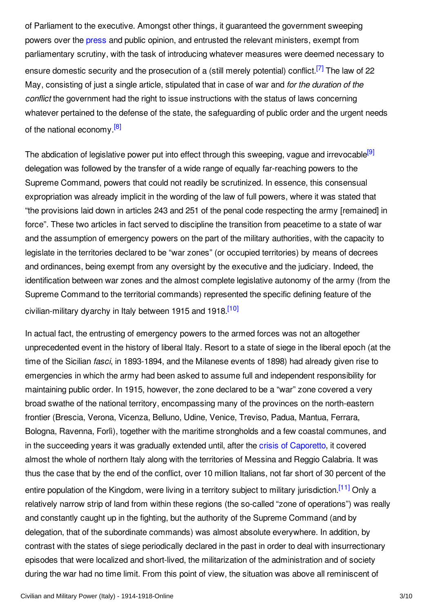<span id="page-2-0"></span>of Parliament to the executive. Amongst other things, it guaranteed the government sweeping powers over the [press](http://encyclopedia.1914-1918-online.net/article/pressjournalism_italy) and public opinion, and entrusted the relevant ministers, exempt from parliamentary scrutiny, with the task of introducing whatever measures were deemed necessary to ensure domestic security and the prosecution of a (still merely potential) conflict.<sup>[\[7\]](#page-7-6)</sup> The law of 22 May, consisting of just a single article, stipulated that in case of war and *for the duration of the conflict* the government had the right to issue instructions with the status of laws concerning whatever pertained to the defense of the state, the safeguarding of public order and the urgent needs of the national economy.<sup>[\[8\]](#page-7-7)</sup>

<span id="page-2-2"></span><span id="page-2-1"></span>The abdication of legislative power put into effect through this sweeping, vague and irrevocable<sup>[\[9\]](#page-7-8)</sup> delegation was followed by the transfer of a wide range of equally far-reaching powers to the Supreme Command, powers that could not readily be scrutinized. In essence, this consensual expropriation was already implicit in the wording of the law of full powers, where it was stated that "the provisions laid down in articles 243 and 251 of the penal code respecting the army [remained] in force". These two articles in fact served to discipline the transition from peacetime to a state of war and the assumption of emergency powers on the part of the military authorities, with the capacity to legislate in the territories declared to be "war zones" (or occupied territories) by means of decrees and ordinances, being exempt from any oversight by the executive and the judiciary. Indeed, the identification between war zones and the almost complete legislative autonomy of the army (from the Supreme Command to the territorial commands) represented the specific defining feature of the civilian-military dyarchy in Italy between 1915 and 1918.<sup>[\[10\]](#page-7-9)</sup>

<span id="page-2-4"></span><span id="page-2-3"></span>In actual fact, the entrusting of emergency powers to the armed forces was not an altogether unprecedented event in the history of liberal Italy. Resort to a state of siege in the liberal epoch (at the time of the Sicilian *fasci*, in 1893-1894, and the Milanese events of 1898) had already given rise to emergencies in which the army had been asked to assume full and independent responsibility for maintaining public order. In 1915, however, the zone declared to be a "war" zone covered a very broad swathe of the national territory, encompassing many of the provinces on the north-eastern frontier (Brescia, Verona, Vicenza, Belluno, Udine, Venice, Treviso, Padua, Mantua, Ferrara, Bologna, Ravenna, Forlì), together with the maritime strongholds and a few coastal communes, and in the succeeding years it was gradually extended until, after the crisis of [Caporetto](http://encyclopedia.1914-1918-online.net/article/caporetto_battle_of), it covered almost the whole of northern Italy along with the territories of Messina and Reggio Calabria. It was thus the case that by the end of the conflict, over 10 million Italians, not far short of 30 percent of the entire population of the Kingdom, were living in a territory subject to military jurisdiction.<sup>[\[11\]](#page-7-10)</sup> Only a relatively narrow strip of land from within these regions (the so-called "zone of operations") was really and constantly caught up in the fighting, but the authority of the Supreme Command (and by delegation, that of the subordinate commands) was almost absolute everywhere. In addition, by contrast with the states of siege periodically declared in the past in order to deal with insurrectionary episodes that were localized and short-lived, the militarization of the administration and of society during the war had no time limit. From this point of view, the situation was above all reminiscent of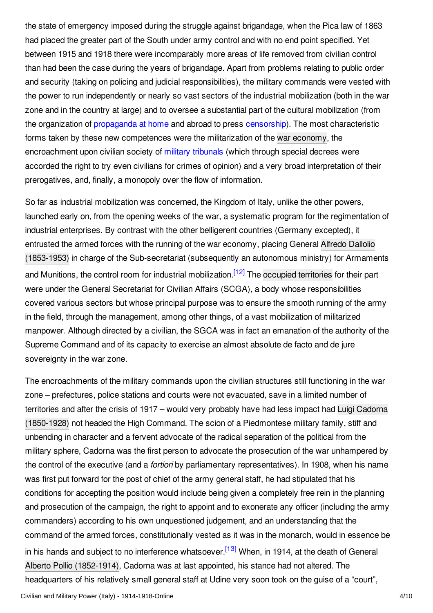the state of emergency imposed during the struggle against brigandage, when the Pica law of 1863 had placed the greater part of the South under army control and with no end point specified. Yet between 1915 and 1918 there were incomparably more areas of life removed from civilian control than had been the case during the years of brigandage. Apart from problems relating to public order and security (taking on policing and judicial responsibilities), the military commands were vested with the power to run independently or nearly so vast sectors of the industrial mobilization (both in the war zone and in the country at large) and to oversee a substantial part of the cultural mobilization (from the organization of [propaganda](http://encyclopedia.1914-1918-online.net/article/propaganda_at_home_italy) at home and abroad to press [censorship](http://encyclopedia.1914-1918-online.net/article/censorship)). The most characteristic forms taken by these new competences were the militarization of the war [economy](http://encyclopedia.1914-1918-online.net/article/organization_of_war_economies_italy), the encroachment upon civilian society of military [tribunals](http://encyclopedia.1914-1918-online.net/article/discipline_and_military_justice_italy) (which through special decrees were accorded the right to try even civilians for crimes of opinion) and a very broad interpretation of their prerogatives, and, finally, a monopoly over the flow of information.

<span id="page-3-0"></span>So far as industrial mobilization was concerned, the Kingdom of Italy, unlike the other powers, launched early on, from the opening weeks of the war, a systematic program for the regimentation of industrial enterprises. By contrast with the other belligerent countries (Germany excepted), it entrusted the armed forces with the running of the war economy, placing General Alfredo Dallolio (1853-1953) in charge of the [Sub-secretariat](http://encyclopedia.1914-1918-online.net/index/names/1019137460) (subsequently an autonomous ministry) for Armaments and Munitions, the control room for industrial mobilization.<sup>[\[12\]](#page-7-11)</sup> The occupied [territories](http://encyclopedia.1914-1918-online.net/article/occupation_during_and_after_the_war_italy) for their part were under the General Secretariat for Civilian Affairs (SCGA), a body whose responsibilities covered various sectors but whose principal purpose was to ensure the smooth running of the army in the field, through the management, among other things, of a vast mobilization of militarized manpower. Although directed by a civilian, the SGCA was in fact an emanation of the authority of the Supreme Command and of its capacity to exercise an almost absolute de facto and de jure sovereignty in the war zone.

<span id="page-3-1"></span>The encroachments of the military commands upon the civilian structures still functioning in the war zone – prefectures, police stations and courts were not evacuated, save in a limited number of territories and after the crisis of 1917 – would very probably have had less impact had Luigi Cadorna (1850-1928) not headed the High Command. The scion of a [Piedmontese](http://encyclopedia.1914-1918-online.net/index/names/119291592) military family, stiff and unbending in character and a fervent advocate of the radical separation of the political from the military sphere, Cadorna was the first person to advocate the prosecution of the war unhampered by the control of the executive (and a *fortiori* by parliamentary representatives). In 1908, when his name was first put forward for the post of chief of the army general staff, he had stipulated that his conditions for accepting the position would include being given a completely free rein in the planning and prosecution of the campaign, the right to appoint and to exonerate any officer (including the army commanders) according to his own unquestioned judgement, and an understanding that the command of the armed forces, constitutionally vested as it was in the monarch, would in essence be in his hands and subject to no interference whatsoever.<sup>[\[13\]](#page-7-12)</sup> When, in 1914, at the death of General Alberto Pollio [\(1852-1914\)](http://encyclopedia.1914-1918-online.net/index/names/139443703), Cadorna was at last appointed, his stance had not altered. The headquarters of his relatively small general staff at Udine very soon took on the guise of a "court",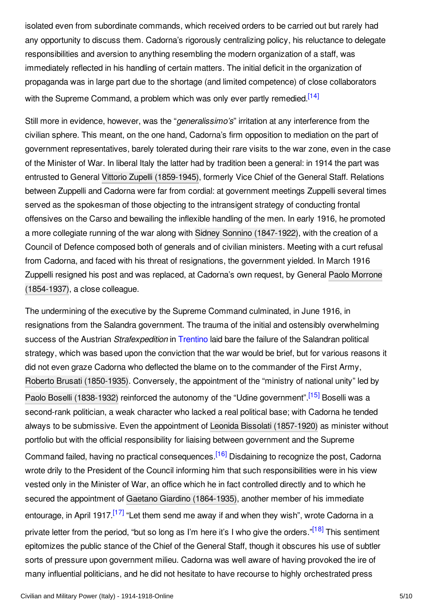isolated even from subordinate commands, which received orders to be carried out but rarely had any opportunity to discuss them. Cadorna's rigorously centralizing policy, his reluctance to delegate responsibilities and aversion to anything resembling the modern organization of a staff, was immediately reflected in his handling of certain matters. The initial deficit in the organization of propaganda was in large part due to the shortage (and limited competence) of close collaborators with the Supreme Command, a problem which was only ever partly remedied.<sup>[\[14\]](#page-8-1)</sup>

<span id="page-4-0"></span>Still more in evidence, however, was the "*generalissimo's*" irritation at any interference from the civilian sphere. This meant, on the one hand, Cadorna's firm opposition to mediation on the part of government representatives, barely tolerated during their rare visits to the war zone, even in the case of the Minister of War. In liberal Italy the latter had by tradition been a general: in 1914 the part was entrusted to General Vittorio Zupelli [\(1859-1945\)](http://encyclopedia.1914-1918-online.net/index/names/1038318858), formerly Vice Chief of the General Staff. Relations between Zuppelli and Cadorna were far from cordial: at government meetings Zuppelli several times served as the spokesman of those objecting to the intransigent strategy of conducting frontal offensives on the Carso and bewailing the inflexible handling of the men. In early 1916, he promoted a more collegiate running of the war along with Sidney Sonnino [\(1847-1922\)](http://encyclopedia.1914-1918-online.net/index/names/117508470), with the creation of a Council of Defence composed both of generals and of civilian ministers. Meeting with a curt refusal from Cadorna, and faced with his threat of resignations, the government yielded. In March 1916 Zuppelli resigned his post and was replaced, at Cadorna's own request, by General Paolo Morrone [\(1854-1937\),](http://encyclopedia.1914-1918-online.net/index/names/1084804409) a close colleague.

<span id="page-4-4"></span><span id="page-4-3"></span><span id="page-4-2"></span><span id="page-4-1"></span>The undermining of the executive by the Supreme Command culminated, in June 1916, in resignations from the Salandra government. The trauma of the initial and ostensibly overwhelming success of the Austrian *Strafexpedition* in [Trentino](http://encyclopedia.1914-1918-online.net/article/trentino) laid bare the failure of the Salandran political strategy, which was based upon the conviction that the war would be brief, but for various reasons it did not even graze Cadorna who deflected the blame on to the commander of the First Army, Roberto Brusati [\(1850-1935\)](http://encyclopedia.1914-1918-online.net/index/names/1084804107). Conversely, the appointment of the "ministry of national unity" led by Paolo Boselli [\(1838-1932\)](http://encyclopedia.1914-1918-online.net/index/names/119517906) reinforced the autonomy of the "Udine government".<sup>[\[15\]](#page-8-2)</sup> Boselli was a second-rank politician, a weak character who lacked a real political base; with Cadorna he tended always to be submissive. Even the appointment of Leonida Bissolati [\(1857-1920\)](http://encyclopedia.1914-1918-online.net/index/names/120217562) as minister without portfolio but with the official responsibility for liaising between government and the Supreme Command failed, having no practical consequences.<sup>[\[16\]](#page-8-3)</sup> Disdaining to recognize the post, Cadorna wrote drily to the President of the Council informing him that such responsibilities were in his view vested only in the Minister of War, an office which he in fact controlled directly and to which he secured the appointment of Gaetano Giardino [\(1864-1935\)](http://encyclopedia.1914-1918-online.net/index/names/1048233375), another member of his immediate entourage, in April 1917.<sup>[\[17\]](#page-8-4)</sup> "Let them send me away if and when they wish", wrote Cadorna in a private letter from the period, "but so long as I'm here it's I who give the orders."<sup>[\[18\]](#page-8-5)</sup> This sentiment epitomizes the public stance of the Chief of the General Staff, though it obscures his use of subtler sorts of pressure upon government milieu. Cadorna was well aware of having provoked the ire of many influential politicians, and he did not hesitate to have recourse to highly orchestrated press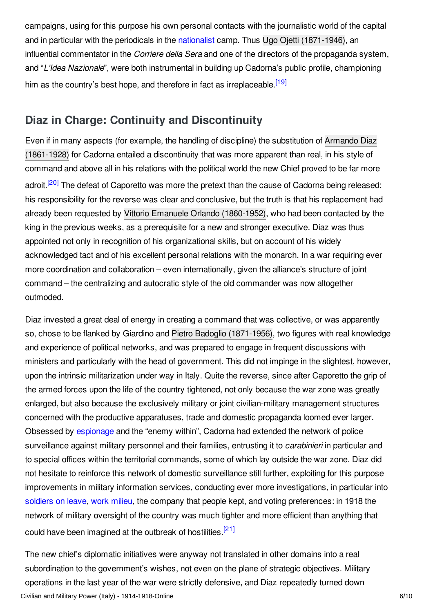campaigns, using for this purpose his own personal contacts with the journalistic world of the capital and in particular with the periodicals in the [nationalist](http://encyclopedia.1914-1918-online.net/article/nationalism) camp. Thus Ugo Ojetti [\(1871-1946\)](http://encyclopedia.1914-1918-online.net/index/names/118786946), an influential commentator in the *Corriere della Sera* and one of the directors of the propaganda system, and "*L'Idea Nazionale*", were both instrumental in building up Cadorna's public profile, championing him as the country's best hope, and therefore in fact as irreplaceable.<sup>[\[19\]](#page-8-6)</sup>

# <span id="page-5-1"></span><span id="page-5-0"></span>**Diaz in Charge: Continuity and Discontinuity**

<span id="page-5-2"></span>Even if in many aspects (for example, the handling of discipline) the substitution of Armando Diaz (1861-1928) for Cadorna entailed a [discontinuity](http://encyclopedia.1914-1918-online.net/index/names/118880195) that was more apparent than real, in his style of command and above all in his relations with the political world the new Chief proved to be far more adroit.<sup>[\[20\]](#page-8-7)</sup> The defeat of Caporetto was more the pretext than the cause of Cadorna being released: his responsibility for the reverse was clear and conclusive, but the truth is that his replacement had already been requested by Vittorio Emanuele Orlando [\(1860-1952\)](http://encyclopedia.1914-1918-online.net/index/names/117146099), who had been contacted by the king in the previous weeks, as a prerequisite for a new and stronger executive. Diaz was thus appointed not only in recognition of his organizational skills, but on account of his widely acknowledged tact and of his excellent personal relations with the monarch. In a war requiring ever more coordination and collaboration – even internationally, given the alliance's structure of joint command – the centralizing and autocratic style of the old commander was now altogether outmoded.

Diaz invested a great deal of energy in creating a command that was collective, or was apparently so, chose to be flanked by Giardino and Pietro Badoglio [\(1871-1956\)](http://encyclopedia.1914-1918-online.net/index/names/118646281), two figures with real knowledge and experience of political networks, and was prepared to engage in frequent discussions with ministers and particularly with the head of government. This did not impinge in the slightest, however, upon the intrinsic militarization under way in Italy. Quite the reverse, since after Caporetto the grip of the armed forces upon the life of the country tightened, not only because the war zone was greatly enlarged, but also because the exclusively military or joint civilian-military management structures concerned with the productive apparatuses, trade and domestic propaganda loomed ever larger. Obsessed by [espionage](http://encyclopedia.1914-1918-online.net/article/espionage) and the "enemy within", Cadorna had extended the network of police surveillance against military personnel and their families, entrusting it to *carabinieri* in particular and to special offices within the territorial commands, some of which lay outside the war zone. Diaz did not hesitate to reinforce this network of domestic surveillance still further, exploiting for this purpose improvements in military information services, conducting ever more investigations, in particular into [soldiers](http://encyclopedia.1914-1918-online.net/article/soldiers_on_leave) on leave, work [milieu](http://encyclopedia.1914-1918-online.net/article/militarized_workers_italy), the company that people kept, and voting preferences: in 1918 the network of military oversight of the country was much tighter and more efficient than anything that could have been imagined at the outbreak of hostilities.<sup>[\[21\]](#page-8-8)</sup>

<span id="page-5-3"></span>The new chief's diplomatic initiatives were anyway not translated in other domains into a real subordination to the government's wishes, not even on the plane of strategic objectives. Military operations in the last year of the war were strictly defensive, and Diaz repeatedly turned down Civilian and Military Power (Italy) - 1914-1918-Online 6/10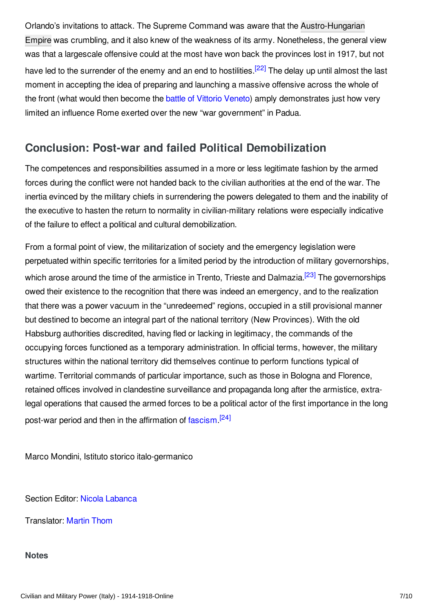<span id="page-6-2"></span>Orlando's invitations to attack. The Supreme Command was aware that the [Austro-Hungarian](http://encyclopedia.1914-1918-online.net/article/austria-hungary) Empire was crumbling, and it also knew of the weakness of its army. Nonetheless, the general view was that a largescale offensive could at the most have won back the provinces lost in 1917, but not have led to the surrender of the enemy and an end to hostilities.<sup>[\[22\]](#page-8-9)</sup> The delay up until almost the last moment in accepting the idea of preparing and launching a massive offensive across the whole of the front (what would then become the battle of Vittorio [Veneto](http://encyclopedia.1914-1918-online.net/article/vittorio_veneto_battle_of)) amply demonstrates just how very limited an influence Rome exerted over the new "war government" in Padua.

# <span id="page-6-0"></span>**Conclusion: Post-war and failed Political Demobilization**

The competences and responsibilities assumed in a more or less legitimate fashion by the armed forces during the conflict were not handed back to the civilian authorities at the end of the war. The inertia evinced by the military chiefs in surrendering the powers delegated to them and the inability of the executive to hasten the return to normality in civilian-military relations were especially indicative of the failure to effect a political and cultural demobilization.

<span id="page-6-3"></span>From a formal point of view, the militarization of society and the emergency legislation were perpetuated within specific territories for a limited period by the introduction of military governorships, which arose around the time of the armistice in Trento, Trieste and Dalmazia.<sup>[\[23\]](#page-8-10)</sup> The governorships owed their existence to the recognition that there was indeed an emergency, and to the realization that there was a power vacuum in the "unredeemed" regions, occupied in a still provisional manner but destined to become an integral part of the national territory (New Provinces). With the old Habsburg authorities discredited, having fled or lacking in legitimacy, the commands of the occupying forces functioned as a temporary administration. In official terms, however, the military structures within the national territory did themselves continue to perform functions typical of wartime. Territorial commands of particular importance, such as those in Bologna and Florence, retained offices involved in clandestine surveillance and propaganda long after the armistice, extralegal operations that caused the armed forces to be a political actor of the first importance in the long post-war period and then in the affirmation of [fascism](http://encyclopedia.1914-1918-online.net/article/fascism_and_the_radical_right) <sup>[\[24\]](#page-8-11)</sup>

<span id="page-6-4"></span>Marco Mondini, Istituto storico italo-germanico

Section Editor: Nicola [Labanca](http://encyclopedia.1914-1918-online.net/contributors/Nicola_Labanca)

Translator: [Martin](http://encyclopedia.1914-1918-online.net/contributors/Martin_Thom) Thom

#### <span id="page-6-1"></span>**Notes**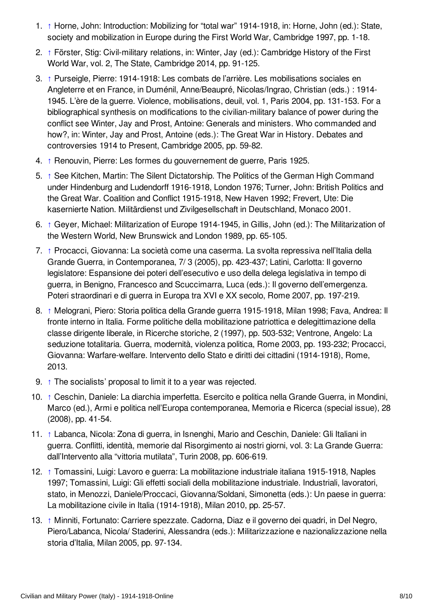- <span id="page-7-0"></span>1. [↑](#page-0-1) Horne, John: Introduction: Mobilizing for "total war" 1914-1918, in: Horne, John (ed.): State, society and mobilization in Europe during the First World War, Cambridge 1997, pp. 1-18.
- <span id="page-7-1"></span>2. [↑](#page-1-1) Förster, Stig: Civil-military relations, in: Winter, Jay (ed.): Cambridge History of the First World War, vol. 2, The State, Cambridge 2014, pp. 91-125.
- <span id="page-7-2"></span>3. [↑](#page-1-2) Purseigle, Pierre: 1914-1918: Les combats de l'arrière. Les mobilisations sociales en Angleterre et en France, in Duménil, Anne/Beaupré, Nicolas/Ingrao, Christian (eds.) : 1914- 1945. L'ère de la guerre. Violence, mobilisations, deuil, vol. 1, Paris 2004, pp. 131-153. For a bibliographical synthesis on modifications to the civilian-military balance of power during the conflict see Winter, Jay and Prost, Antoine: Generals and ministers. Who commanded and how?, in: Winter, Jay and Prost, Antoine (eds.): The Great War in History. Debates and controversies 1914 to Present, Cambridge 2005, pp. 59-82.
- <span id="page-7-3"></span>4. [↑](#page-1-3) Renouvin, Pierre: Les formes du gouvernement de guerre, Paris 1925.
- <span id="page-7-4"></span>5. [↑](#page-1-4) See Kitchen, Martin: The Silent Dictatorship. The Politics of the German High Command under Hindenburg and Ludendorff 1916-1918, London 1976; Turner, John: British Politics and the Great War. Coalition and Conflict 1915-1918, New Haven 1992; Frevert, Ute: Die kasernierte Nation. Militärdienst und Zivilgesellschaft in Deutschland, Monaco 2001.
- <span id="page-7-5"></span>6. [↑](#page-1-5) Geyer, Michael: Militarization of Europe 1914-1945, in Gillis, John (ed.): The Militarization of the Western World, New Brunswick and London 1989, pp. 65-105.
- <span id="page-7-6"></span>7. [↑](#page-2-0) Procacci, Giovanna: La società come una caserma. La svolta repressiva nell'Italia della Grande Guerra, in Contemporanea, 7/ 3 (2005), pp. 423-437; Latini, Carlotta: Il governo legislatore: Espansione dei poteri dell'esecutivo e uso della delega legislativa in tempo di guerra, in Benigno, Francesco and Scuccimarra, Luca (eds.): Il governo dell'emergenza. Poteri straordinari e di guerra in Europa tra XVI e XX secolo, Rome 2007, pp. 197-219.
- <span id="page-7-7"></span>8. [↑](#page-2-1) Melograni, Piero: Storia politica della Grande guerra 1915-1918, Milan 1998; Fava, Andrea: Il fronte interno in Italia. Forme politiche della mobilitazione patriottica e delegittimazione della classe dirigente liberale, in Ricerche storiche, 2 (1997), pp. 503-532; Ventrone, Angelo: La seduzione totalitaria. Guerra, modernità, violenza politica, Rome 2003, pp. 193-232; Procacci, Giovanna: Warfare-welfare. Intervento dello Stato e diritti dei cittadini (1914-1918), Rome, 2013.
- <span id="page-7-8"></span>9. [↑](#page-2-2) The socialists' proposal to limit it to a year was rejected.
- <span id="page-7-9"></span>10. [↑](#page-2-3) Ceschin, Daniele: La diarchia imperfetta. Esercito e politica nella Grande Guerra, in Mondini, Marco (ed.), Armi e politica nell'Europa contemporanea, Memoria e Ricerca (special issue), 28 (2008), pp. 41-54.
- <span id="page-7-10"></span>11. [↑](#page-2-4) Labanca, Nicola: Zona di guerra, in Isnenghi, Mario and Ceschin, Daniele: Gli Italiani in guerra. Conflitti, identità, memorie dal Risorgimento ai nostri giorni, vol. 3: La Grande Guerra: dall'Intervento alla "vittoria mutilata", Turin 2008, pp. 606-619.
- <span id="page-7-11"></span>12. [↑](#page-3-0) Tomassini, Luigi: Lavoro e guerra: La mobilitazione industriale italiana 1915-1918, Naples 1997; Tomassini, Luigi: Gli effetti sociali della mobilitazione industriale. Industriali, lavoratori, stato, in Menozzi, Daniele/Proccaci, Giovanna/Soldani, Simonetta (eds.): Un paese in guerra: La mobilitazione civile in Italia (1914-1918), Milan 2010, pp. 25-57.
- <span id="page-7-12"></span>13. [↑](#page-3-1) Minniti, Fortunato: Carriere spezzate. Cadorna, Diaz e il governo dei quadri, in Del Negro, Piero/Labanca, Nicola/ Staderini, Alessandra (eds.): Militarizzazione e nazionalizzazione nella storia d'Italia, Milan 2005, pp. 97-134.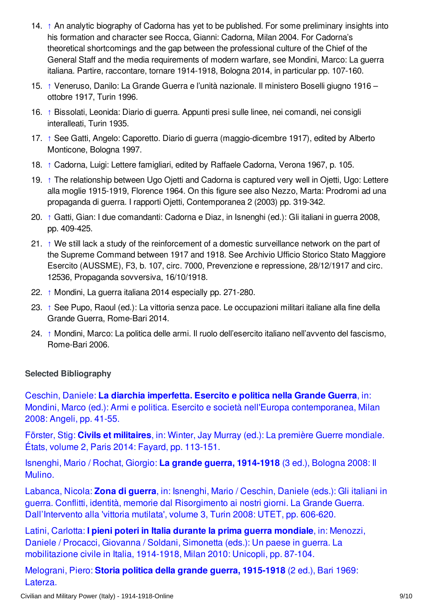- <span id="page-8-1"></span>14. [↑](#page-4-0) An analytic biography of Cadorna has yet to be published. For some preliminary insights into his formation and character see Rocca, Gianni: Cadorna, Milan 2004. For Cadorna's theoretical shortcomings and the gap between the professional culture of the Chief of the General Staff and the media requirements of modern warfare, see Mondini, Marco: La guerra italiana. Partire, raccontare, tornare 1914-1918, Bologna 2014, in particular pp. 107-160.
- <span id="page-8-2"></span>15. [↑](#page-4-1) Veneruso, Danilo: La Grande Guerra e l'unità nazionale. Il ministero Boselli giugno 1916 – ottobre 1917, Turin 1996.
- <span id="page-8-3"></span>16. [↑](#page-4-2) Bissolati, Leonida: Diario di guerra. Appunti presi sulle linee, nei comandi, nei consigli interalleati, Turin 1935.
- <span id="page-8-4"></span>17. [↑](#page-4-3) See Gatti, Angelo: Caporetto. Diario di guerra (maggio-dicembre 1917), edited by Alberto Monticone, Bologna 1997.
- <span id="page-8-5"></span>18. [↑](#page-4-4) Cadorna, Luigi: Lettere famigliari, edited by Raffaele Cadorna, Verona 1967, p. 105.
- <span id="page-8-6"></span>19. [↑](#page-5-1) The relationship between Ugo Ojetti and Cadorna is captured very well in Ojetti, Ugo: Lettere alla moglie 1915-1919, Florence 1964. On this figure see also Nezzo, Marta: Prodromi ad una propaganda di guerra. I rapporti Ojetti, Contemporanea 2 (2003) pp. 319-342.
- <span id="page-8-7"></span>20. [↑](#page-5-2) Gatti, Gian: I due comandanti: Cadorna e Diaz, in Isnenghi (ed.): Gli italiani in guerra 2008, pp. 409-425.
- <span id="page-8-8"></span>21. [↑](#page-5-3) We still lack a study of the reinforcement of a domestic surveillance network on the part of the Supreme Command between 1917 and 1918. See Archivio Ufficio Storico Stato Maggiore Esercito (AUSSME), F3, b. 107, circ. 7000, Prevenzione e repressione, 28/12/1917 and circ. 12536, Propaganda sovversiva, 16/10/1918.
- <span id="page-8-9"></span>22. [↑](#page-6-2) Mondini, La guerra italiana 2014 especially pp. 271-280.
- <span id="page-8-10"></span>23. [↑](#page-6-3) See Pupo, Raoul (ed.): La vittoria senza pace. Le occupazioni militari italiane alla fine della Grande Guerra, Rome-Bari 2014.
- <span id="page-8-11"></span>24. [↑](#page-6-4) Mondini, Marco: La politica delle armi. Il ruolo dell'esercito italiano nell'avvento del fascismo, Rome-Bari 2006.

### <span id="page-8-0"></span>**Selected Bibliography**

Ceschin, Daniele: **La diarchia imperfetta. Esercito e politica nella Grande Guerra**, in: Mondini, Marco (ed.): Armi e politica. Esercito e società nell'Europa [contemporanea,](http://encyclopedia.1914-1918-online.net/bibliography/Z5A6MKUI) Milan 2008: Angeli, pp. 41-55.

Förster, Stig: **Civils et militaires**, in: Winter, Jay Murray (ed.): La première Guerre [mondiale.](http://encyclopedia.1914-1918-online.net/bibliography/UI7SKZDT) États, volume 2, Paris 2014: Fayard, pp. 113-151.

Isnenghi, Mario / Rochat, Giorgio: **La grande guerra, [1914-1918](http://encyclopedia.1914-1918-online.net/bibliography/TBQFAAH2)** (3 ed.), Bologna 2008: Il Mulino.

Labanca, Nicola: **Zona di guerra**, in: Isnenghi, Mario / Ceschin, Daniele (eds.): Gli italiani in guerra. Conflitti, identità, memorie dal Risorgimento ai nostri giorni. La Grande Guerra. [Dall'Intervento](http://encyclopedia.1914-1918-online.net/bibliography/XJB2PKTK) alla 'vittoria mutilata', volume 3, Turin 2008: UTET, pp. 606-620.

Latini, Carlotta: **I pieni poteri in Italia durante la prima guerra mondiale**, in: Menozzi, Daniele / Procacci, Giovanna / Soldani, Simonetta (eds.): Un paese in guerra. La [mobilitazione](http://encyclopedia.1914-1918-online.net/bibliography/BHDGAX4E) civile in Italia, 1914-1918, Milan 2010: Unicopli, pp. 87-104.

Melograni, Piero: **Storia politica della grande guerra, [1915-1918](http://encyclopedia.1914-1918-online.net/bibliography/G4XWSGQZ)** (2 ed.), Bari 1969: Laterza.